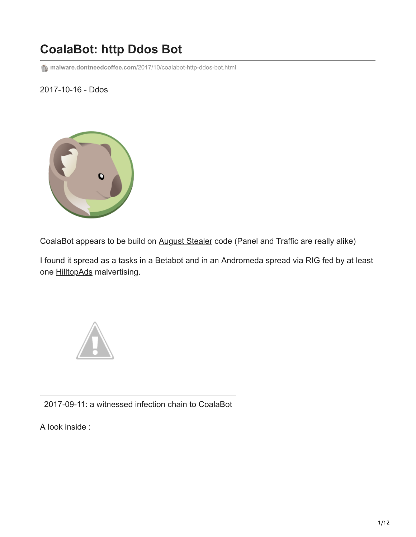# **CoalaBot: http Ddos Bot**

**malware.dontneedcoffee.com**[/2017/10/coalabot-http-ddos-bot.html](https://malware.dontneedcoffee.com/2017/10/coalabot-http-ddos-bot.html)

## 2017-10-16 - Ddos



CoalaBot appears to be build on [August Stealer](https://www.proofpoint.com/uk/threat-insight/post/august-in-december-new-information-stealer-hits-the-scene) code (Panel and Traffic are really alike)

I found it spread as a tasks in a Betabot and in an Andromeda spread via RIG fed by at least one [HilltopAds](https://hilltopads.com/) malvertising.



2017-09-11: a witnessed infection chain to CoalaBot

A look inside :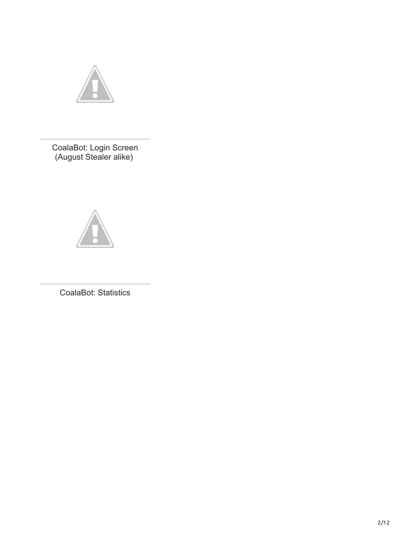

CoalaBot: Login Screen (August Stealer alike)



CoalaBot: Statistics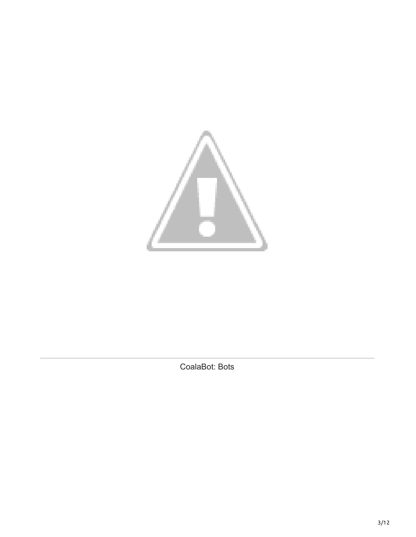

CoalaBot: Bots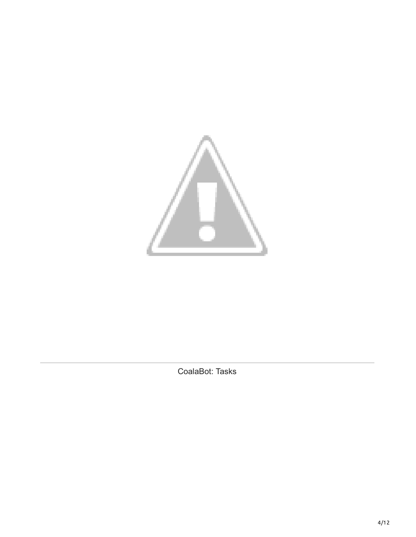

CoalaBot: Tasks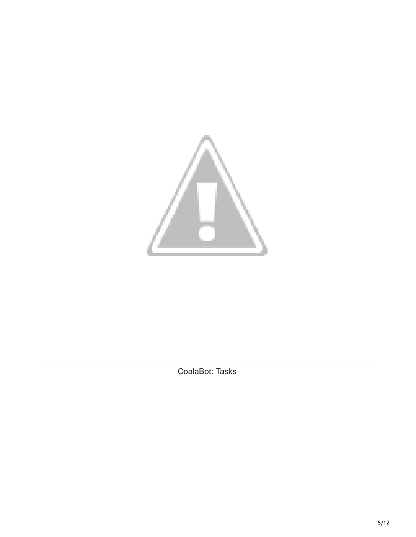

CoalaBot: Tasks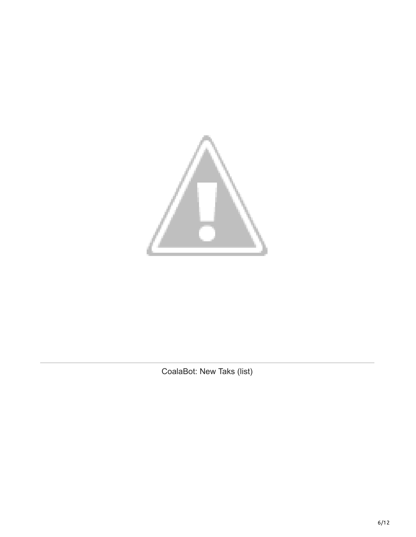

CoalaBot: New Taks (list)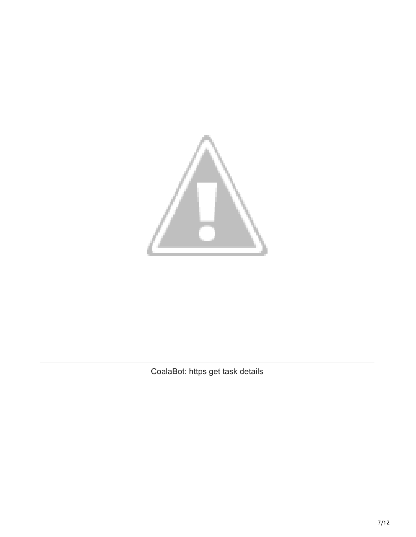

CoalaBot: https get task details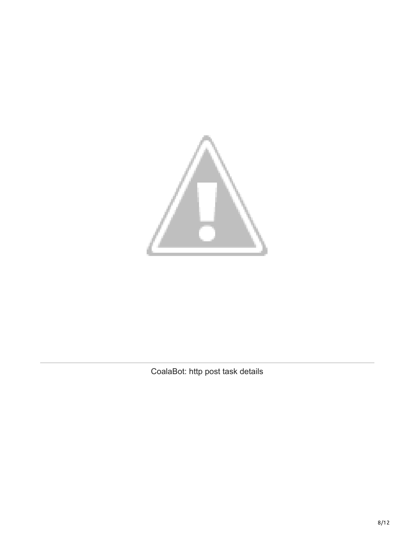

CoalaBot: http post task details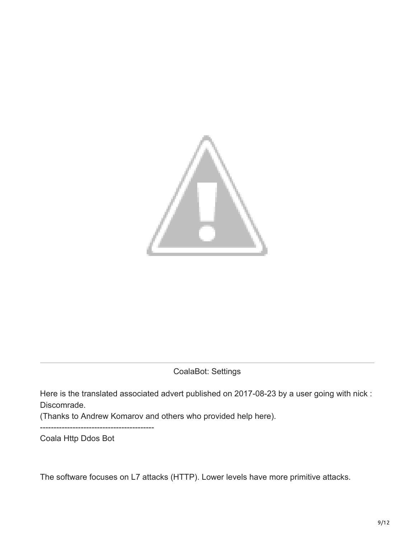

CoalaBot: Settings

Here is the translated associated advert published on 2017-08-23 by a user going with nick : Discomrade.

(Thanks to Andrew Komarov and others who provided help here).

Coala Http Ddos Bot

------------------------------------------

The software focuses on L7 attacks (HTTP). Lower levels have more primitive attacks.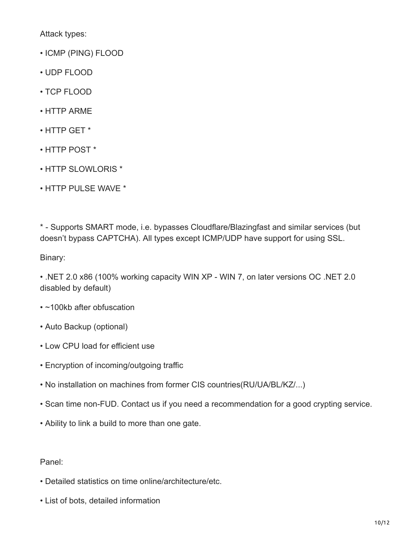Attack types:

- ICMP (PING) FLOOD
- UDP FLOOD
- TCP FLOOD
- HTTP ARME
- HTTP GET \*
- HTTP POST \*
- HTTP SLOWLORIS \*
- HTTP PULSE WAVE \*

\* - Supports SMART mode, i.e. bypasses Cloudflare/Blazingfast and similar services (but doesn't bypass CAPTCHA). All types except ICMP/UDP have support for using SSL.

Binary:

• .NET 2.0 x86 (100% working capacity WIN XP - WIN 7, on later versions ОС .NET 2.0 disabled by default)

- ~100kb after obfuscation
- Auto Backup (optional)
- Low CPU load for efficient use
- Encryption of incoming/outgoing traffic
- No installation on machines from former CIS countries(RU/UA/BL/KZ/...)
- Scan time non-FUD. Contact us if you need a recommendation for a good crypting service.
- Ability to link a build to more than one gate.

#### Panel:

- Detailed statistics on time online/architecture/etc.
- List of bots, detailed information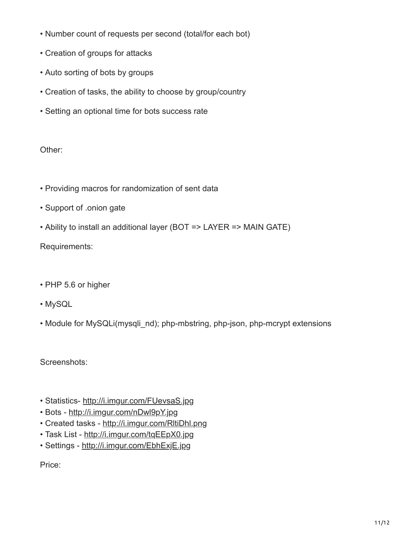- Number count of requests per second (total/for each bot)
- Creation of groups for attacks
- Auto sorting of bots by groups
- Creation of tasks, the ability to choose by group/country
- Setting an optional time for bots success rate

### Other:

- Providing macros for randomization of sent data
- Support of .onion gate
- Ability to install an additional layer (BOT => LAYER => MAIN GATE)

Requirements:

- PHP 5.6 or higher
- MySQL
- Module for MySQLi(mysqli\_nd); php-mbstring, php-json, php-mcrypt extensions

Screenshots:

- Statistics- [http://i.imgur.com/FUevsaS.jpg](https://i.imgur.com/FUevsaS.jpg)
- Bots - [http://i.imgur.com/nDwl9pY.jpg](https://i.imgur.com/nDwl9pY.jpg)
- Created tasks [http://i.imgur.com/RltiDhl.png](https://i.imgur.com/RltiDhl.png)
- Task List [http://i.imgur.com/tqEEpX0.jpg](https://i.imgur.com/tqEEpX0.jpg)
- Settings [http://i.imgur.com/EbhExjE.jpg](https://i.imgur.com/EbhExjE.jpg)

Price: